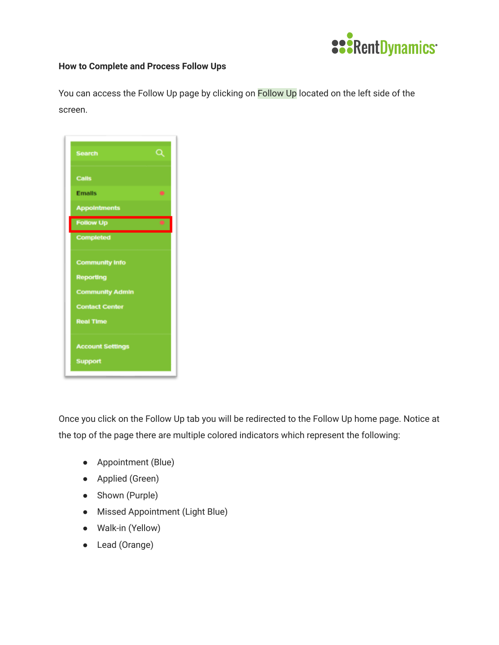

## **How to Complete and Process Follow Ups**

You can access the Follow Up page by clicking on Follow Up located on the left side of the screen.

| <b>Search</b>                                                                                                    | $\boldsymbol{\alpha}$ |
|------------------------------------------------------------------------------------------------------------------|-----------------------|
| <b>Calls</b>                                                                                                     |                       |
| <b>Emails</b>                                                                                                    | ۰                     |
| <b>Appointments</b>                                                                                              |                       |
| <b>Follow Up</b>                                                                                                 |                       |
| <b>Completed</b>                                                                                                 |                       |
| <b>Community Info</b><br><b>Reporting</b><br><b>Community Admin</b><br><b>Contact Center</b><br><b>Real Time</b> |                       |
| <b>Account Settings</b><br><b>Support</b>                                                                        |                       |

Once you click on the Follow Up tab you will be redirected to the Follow Up home page. Notice at the top of the page there are multiple colored indicators which represent the following:

- Appointment (Blue)
- Applied (Green)
- Shown (Purple)
- Missed Appointment (Light Blue)
- Walk-in (Yellow)
- Lead (Orange)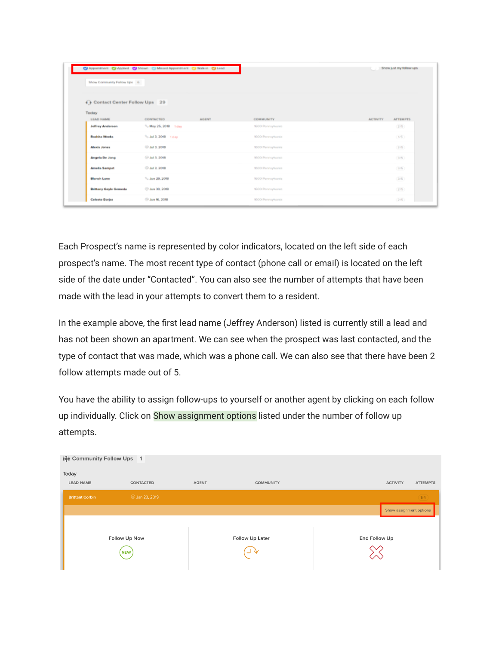|                                       | C Appaintment C Applied C Shown C Missed Appaintment C Walk-in C Lead |                   | Show just my follow ups            |
|---------------------------------------|-----------------------------------------------------------------------|-------------------|------------------------------------|
| Show Community Follow Ups 6           |                                                                       |                   |                                    |
|                                       |                                                                       |                   |                                    |
| <b>4 Contact Center Follow Ups</b> 29 |                                                                       |                   |                                    |
| Today<br>LEAD NAME                    | CONTACTED<br><b>AGENT</b>                                             | COMMUNITY         | <b>ACTIVITY</b><br><b>ATTEMPTS</b> |
| <b>Jeffrey Anderson</b>               | % May 25, 2018 1 day                                                  | 1600 Pennsylvania | (2/5)                              |
| <b>Rashita Weeks</b>                  | <sup>9</sup> c Jul 3, 2018 1 day                                      | 1600 Pennsylvania | $1/6$ )                            |
| <b>Alexis Jones</b>                   | C Jul 3, 2018                                                         | 1600 Pennsylvania | (2/5)                              |
| <b>Angela De Jong</b>                 | <b>C Jul 3, 2018</b>                                                  | 1600 Pennsylvania | $3/5$ )                            |
| <b>Amelia Sampat</b>                  | CD Jul 3, 2018                                                        | 1600 Pennsylvania | (3/6)                              |
| <b>Blanch Lane</b>                    | <sup>5</sup> . Jun 29, 2018                                           | 1600 Pennsylvania | $2/5$ )                            |
| <b>Brittany Gayle Gemeda</b>          | @ Jun 30, 2018                                                        | 1600 Pennsylvania | $2/5$ )                            |
| <b>Celeste Borjas</b>                 | C Jun 16, 2018                                                        | 1600 Pennsylvania | (2/6)                              |

Each Prospect's name is represented by color indicators, located on the left side of each prospect's name. The most recent type of contact (phone call or email) is located on the left side of the date under "Contacted". You can also see the number of attempts that have been made with the lead in your attempts to convert them to a resident.

In the example above, the first lead name (Jeffrey Anderson) listed is currently still a lead and has not been shown an apartment. We can see when the prospect was last contacted, and the type of contact that was made, which was a phone call. We can also see that there have been 2 follow attempts made out of 5.

You have the ability to assign follow-ups to yourself or another agent by clicking on each follow up individually. Click on Show assignment options listed under the number of follow up attempts.

| ivi Community Follow Ups 1 |                       |              |                           |               |                         |                 |
|----------------------------|-----------------------|--------------|---------------------------|---------------|-------------------------|-----------------|
| Today                      |                       |              |                           |               |                         |                 |
| <b>LEAD NAME</b>           | CONTACTED             | <b>AGENT</b> | <b>COMMUNITY</b>          |               | <b>ACTIVITY</b>         | <b>ATTEMPTS</b> |
| <b>Brittant Corbin</b>     | <b>@ Jan 23, 2019</b> |              |                           |               |                         | (1/4)           |
|                            |                       |              |                           |               | Show assignment options |                 |
|                            | Follow Up Now<br>NEW  |              | Follow Up Later<br>╰<br>⊐ | End Follow Up |                         |                 |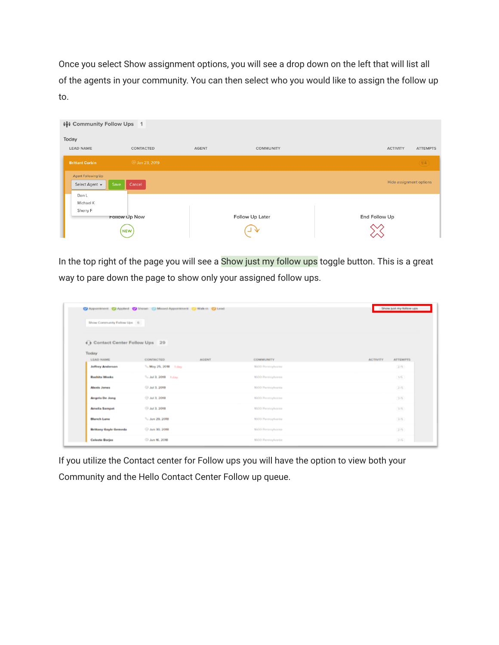Once you select Show assignment options, you will see a drop down on the left that will list all of the agents in your community. You can then select who you would like to assign the follow up to.



In the top right of the page you will see a Show just my follow ups toggle button. This is a great way to pare down the page to show only your assigned follow ups.

| Show Community Follow Ups 6     | C Appointment C Applied C Shown Missed Appointment C Walk-in C Lead |                   | Show just my follow ups            |
|---------------------------------|---------------------------------------------------------------------|-------------------|------------------------------------|
| De Contact Center Follow Ups 29 |                                                                     |                   |                                    |
| Today<br>LEAD NAME              | CONTACTED<br><b>AGENT</b>                                           | <b>COMMUNITY</b>  | <b>ACTIVITY</b><br><b>ATTEMPTS</b> |
| <b>Jeffrey Anderson</b>         | % May 26, 2018 1 day                                                | 1600 Pennsylvania | (2/5)                              |
| <b>Rashita Weeks</b>            | $%$ Jul 3, 2018 1 day                                               | 1600 Pennsylvania | $1/6$ )                            |
| <b>Alexis Jones</b>             | C Jul 3, 2018                                                       | 1600 Pennsylvania | (2/5)                              |
| <b>Angela De Jong</b>           | © Jul 3, 2018                                                       | 1600 Pennsylvania | (3/5)                              |
| <b>Amelia Sampat</b>            | CD Jul 3, 2018                                                      | 1600 Pennsylvania | (3/6)                              |
| <b>Blanch Lane</b>              | <sup>5</sup> Jun 29, 2018                                           | 1600 Pennsylvania | $2/5$ )                            |
| <b>Brittany Gayle Gemeda</b>    | @ Jun 30, 2018                                                      | 1600 Pennsylvania | (2/5)                              |
| <b>Celeste Borjas</b>           | C Jun 16, 2018                                                      | 1600 Pennsylvania | (2/6)                              |

If you utilize the Contact center for Follow ups you will have the option to view both your Community and the Hello Contact Center Follow up queue.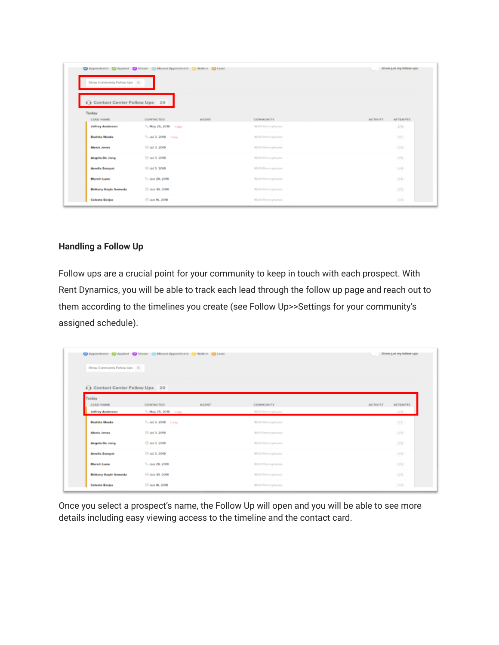| Show Community Follow Ups 6           | C Appointment C Applied C Shown Missed Appointment C Walk-in C Lead |                   | Show just my follow ups            |
|---------------------------------------|---------------------------------------------------------------------|-------------------|------------------------------------|
| Contact Center Follow Ups 29<br>Today |                                                                     |                   |                                    |
| LEAD NAME                             | CONTACTED<br><b>AGENT</b>                                           | <b>COMMUNITY</b>  | <b>ATTEMPTS</b><br><b>ACTIVITY</b> |
| Jeffrey Anderson                      | <sup>0</sup> o May 25, 2018 1 day                                   | 1600 Pennsylvania | (2/5)                              |
| <b>Rashita Wooks</b>                  | <sup>0</sup> s Jul 3, 2018 1 day                                    | 1600 Pennsylvania | $1/6$ )                            |
| <b>Alexis Jones</b>                   | 3. 2018                                                             | 1600 Pennsylvania | (2/5)                              |
| <b>Angela De Jong</b>                 | <b>@ Jul 3, 2018</b>                                                | 1600 Pennsylvania | (3/5)                              |
| <b>Amelia Sampat</b>                  | 3 Jul 2, 2018                                                       | 1600 Pennsylvania | $3/6$ )                            |
| <b>Blanch Lane</b>                    | <sup>5</sup> . Jun 29, 2018                                         | 1600 Permaylvania | (2/5)                              |
| <b>Brittany Gayle Gemeda</b>          | <b>C</b> Jun 30, 2018                                               | 1600 Pennsylvania | (2/5)                              |
| <b>Celeste Borjas</b>                 | <sup>(2)</sup> Jun 16, 2018                                         | 1600 Pennsylvania | (2/5)                              |

# **Handling a Follow Up**

Follow ups are a crucial point for your community to keep in touch with each prospect. With Rent Dynamics, you will be able to track each lead through the follow up page and reach out to them according to the timelines you create (see Follow Up>>Settings for your community's assigned schedule).

| <b>ATTEMPTS</b><br><b>ACTIVITY</b><br>$2/5$ )<br>$1/6$ ) |
|----------------------------------------------------------|
|                                                          |
|                                                          |
|                                                          |
|                                                          |
|                                                          |
|                                                          |
|                                                          |
| (2/5)                                                    |
| (3/5)                                                    |
| (3/6)                                                    |
| (2/5)                                                    |
| (2/5)                                                    |
|                                                          |

Once you select a prospect's name, the Follow Up will open and you will be able to see more details including easy viewing access to the timeline and the contact card.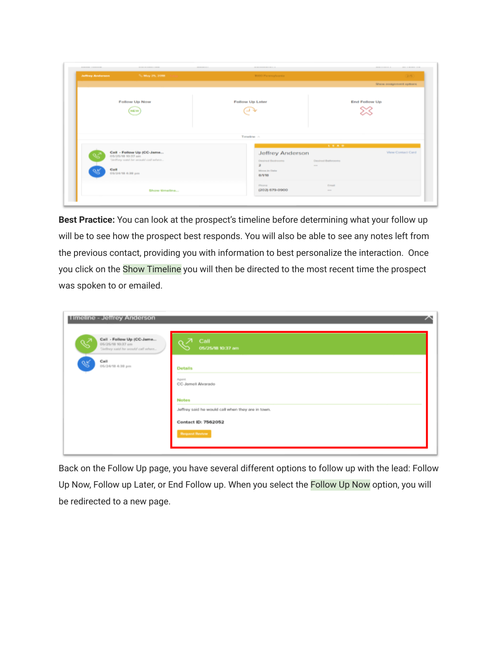| <b>Juffray Andurson</b> | % May 25, 2018                                                                                         | <b>1000 Persylvania</b>                                                                          |                                                                                                          | $2/5$ )                  |
|-------------------------|--------------------------------------------------------------------------------------------------------|--------------------------------------------------------------------------------------------------|----------------------------------------------------------------------------------------------------------|--------------------------|
|                         |                                                                                                        |                                                                                                  |                                                                                                          | Show assignment options  |
|                         | Follow Up Now<br><b>NEW</b>                                                                            | Follow Up Later<br>י ב                                                                           |                                                                                                          | <b>End Follow Up</b>     |
|                         |                                                                                                        | Timeline >                                                                                       |                                                                                                          |                          |
| Caii                    | Call - Follow Up (CC-Jame<br>05/25/18 10:37 em<br>"Jeffrey satd he would call when<br>05/24/18 4:39 pm | <b>Jeffrey Anderson</b><br>Desired Bedrooms<br>$\overline{\mathbf{z}}$<br>Move-in Date<br>8/1/18 | <b>LEAD</b><br>Desired Bathrooms<br><b>House</b>                                                         | <b>View Contact Card</b> |
|                         | Show timeline                                                                                          | <b>Distant</b><br>(202) 679-0900                                                                 | Freast<br>$\frac{1}{2} \left( \frac{1}{2} \right) \left( \frac{1}{2} \right) \left( \frac{1}{2} \right)$ |                          |

**Best Practice:** You can look at the prospect's timeline before determining what your follow up will be to see how the prospect best responds. You will also be able to see any notes left from the previous contact, providing you with information to best personalize the interaction. Once you click on the Show Timeline you will then be directed to the most recent time the prospect was spoken to or emailed.

| Timeline - Jeffrey Anderson                                                             |                                                                   |
|-----------------------------------------------------------------------------------------|-------------------------------------------------------------------|
| Call - Follow Up (CC-Jame<br>¥<br>05/25/18 10:37 am<br>"Jeffrey said he would call when | Call<br>05/25/18 10:37 am                                         |
| Call<br>٩R<br>05/24/18 4:38 pm                                                          | <b>Details</b>                                                    |
|                                                                                         | Agent<br>CC-Jameli Alvarado                                       |
|                                                                                         | <b>Notes</b><br>Jeffrey said he would call when they are in town. |
|                                                                                         | <b>Contact ID: 7562052</b>                                        |
|                                                                                         | <b>Request Review</b>                                             |

Back on the Follow Up page, you have several different options to follow up with the lead: Follow Up Now, Follow up Later, or End Follow up. When you select the Follow Up Now option, you will be redirected to a new page.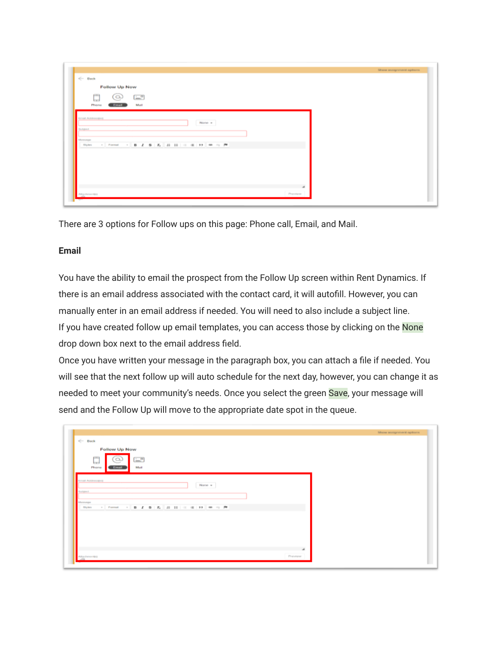|                                                  |        |         | Show assignment options |
|--------------------------------------------------|--------|---------|-------------------------|
| $\Leftarrow$ Back                                |        |         |                         |
| Follow Up Now                                    |        |         |                         |
| ping<br><b>ELL</b> <sup>n</sup><br>$\alpha$<br>ы |        |         |                         |
| Mail<br>Phone<br><b>Email</b>                    |        |         |                         |
| <b>Email Addression</b>                          |        |         |                         |
|                                                  | None = |         |                         |
| Harlstown                                        |        |         |                         |
| Menneger                                         |        |         |                         |
| <b>Bityles</b>                                   |        |         |                         |
|                                                  |        |         |                         |
|                                                  |        |         |                         |
|                                                  |        |         |                         |
|                                                  |        |         |                         |
|                                                  |        |         |                         |
|                                                  |        |         |                         |
| Allachmenter                                     |        | Preview |                         |

There are 3 options for Follow ups on this page: Phone call, Email, and Mail.

# **Email**

You have the ability to email the prospect from the Follow Up screen within Rent Dynamics. If there is an email address associated with the contact card, it will autofill. However, you can manually enter in an email address if needed. You will need to also include a subject line. If you have created follow up email templates, you can access those by clicking on the None drop down box next to the email address field.

Once you have written your message in the paragraph box, you can attach a file if needed. You will see that the next follow up will auto schedule for the next day, however, you can change it as needed to meet your community's needs. Once you select the green Save, your message will send and the Follow Up will move to the appropriate date spot in the queue.

|                                                    |          | Show assignment options |
|----------------------------------------------------|----------|-------------------------|
| $\leftarrow$ Back                                  |          |                         |
| Follow Up Now                                      |          |                         |
| $1 - 1$<br>- 2<br>$\sim$<br>Phone<br>Moti<br>Email |          |                         |
| Email Addresspos)<br>None +<br><b>Bulgest</b>      |          |                         |
| Viennage                                           |          |                         |
| Flifty Born.                                       |          |                         |
|                                                    |          |                         |
|                                                    |          |                         |
|                                                    |          |                         |
|                                                    |          |                         |
|                                                    |          |                         |
|                                                    | a.       |                         |
| Allachmontp)                                       | Prendent |                         |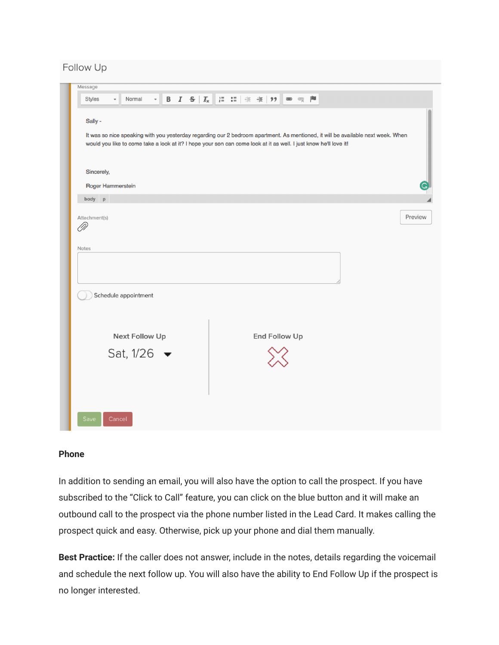Follow Up

| Styles               | $\overline{\phantom{a}}$ | Normal                                                                                                                                                                                                                                                | $\sim$ $\Box$ |  |  |  |  |               |  | P |  |  |         |
|----------------------|--------------------------|-------------------------------------------------------------------------------------------------------------------------------------------------------------------------------------------------------------------------------------------------------|---------------|--|--|--|--|---------------|--|---|--|--|---------|
| Sally -              |                          | It was so nice speaking with you yesterday regarding our 2 bedroom apartment. As mentioned, it will be available next week. When<br>would you like to come take a look at it? I hope your son can come look at it as well. I just know he'll love it! |               |  |  |  |  |               |  |   |  |  |         |
| Sincerely,           |                          |                                                                                                                                                                                                                                                       |               |  |  |  |  |               |  |   |  |  |         |
|                      |                          | Roger Hammerstein                                                                                                                                                                                                                                     |               |  |  |  |  |               |  |   |  |  |         |
| body p               |                          |                                                                                                                                                                                                                                                       |               |  |  |  |  |               |  |   |  |  |         |
| Attachment(s)<br>OP) |                          |                                                                                                                                                                                                                                                       |               |  |  |  |  |               |  |   |  |  | Preview |
| Notes                |                          |                                                                                                                                                                                                                                                       |               |  |  |  |  |               |  |   |  |  |         |
|                      |                          |                                                                                                                                                                                                                                                       |               |  |  |  |  |               |  |   |  |  |         |
|                      |                          | Schedule appointment                                                                                                                                                                                                                                  |               |  |  |  |  |               |  |   |  |  |         |
|                      |                          | Next Follow Up                                                                                                                                                                                                                                        |               |  |  |  |  | End Follow Up |  |   |  |  |         |
|                      |                          | Sat, $1/26$ $\bullet$                                                                                                                                                                                                                                 |               |  |  |  |  |               |  |   |  |  |         |

#### **Phone**

In addition to sending an email, you will also have the option to call the prospect. If you have subscribed to the "Click to Call" feature, you can click on the blue button and it will make an outbound call to the prospect via the phone number listed in the Lead Card. It makes calling the prospect quick and easy. Otherwise, pick up your phone and dial them manually.

**Best Practice:** If the caller does not answer, include in the notes, details regarding the voicemail and schedule the next follow up. You will also have the ability to End Follow Up if the prospect is no longer interested.